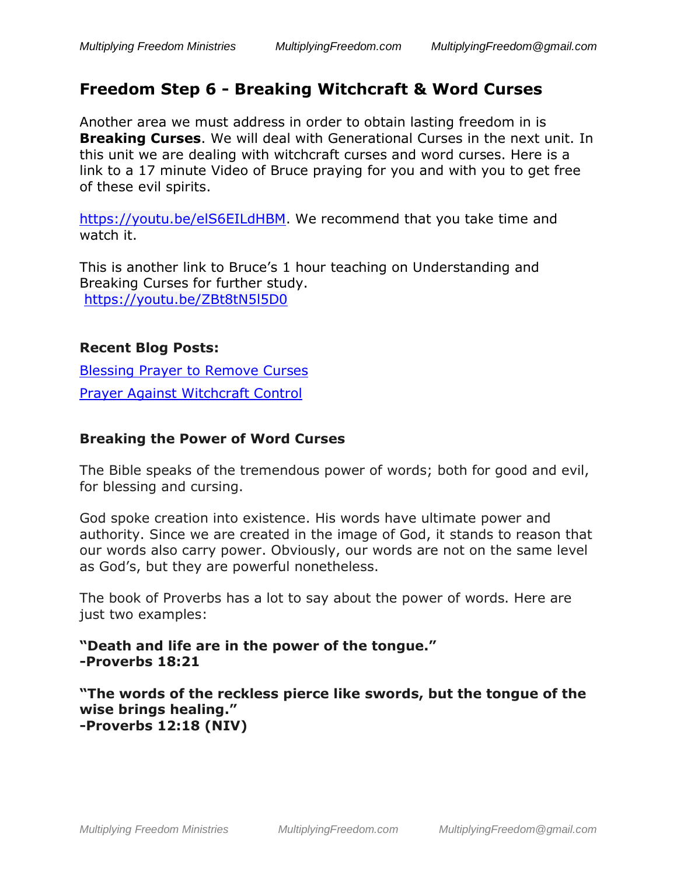# **Freedom Step 6 - Breaking Witchcraft & Word Curses**

Another area we must address in order to obtain lasting freedom in is **Breaking Curses**. We will deal with Generational Curses in the next unit. In this unit we are dealing with witchcraft curses and word curses. Here is a link to a 17 minute Video of Bruce praying for you and with you to get free of these evil spirits.

[https://youtu.be/elS6EILdHBM.](https://youtu.be/elS6EILdHBM) We recommend that you take time and watch it.

This is another link to Bruce's 1 hour teaching on Understanding and Breaking Curses for further study. <https://youtu.be/ZBt8tN5l5D0>

#### **Recent Blog Posts:**

[Blessing Prayer to Remove Curses](https://multiplyingfreedom.com/blog/blessing-prayer-day-2-prayer-to-remove-curses/) [Prayer Against Witchcraft Control](https://multiplyingfreedom.com/blog/prayer-against-witchcraft-control/)

### **Breaking the Power of Word Curses**

The Bible speaks of the tremendous power of words; both for good and evil, for blessing and cursing.

God spoke creation into existence. His words have ultimate power and authority. Since we are created in the image of God, it stands to reason that our words also carry power. Obviously, our words are not on the same level as God's, but they are powerful nonetheless.

The book of Proverbs has a lot to say about the power of words. Here are just two examples:

**"Death and life are in the power of the tongue." -Proverbs 18:21**

**"The words of the reckless pierce like swords, but the tongue of the wise brings healing." -Proverbs 12:18 (NIV)**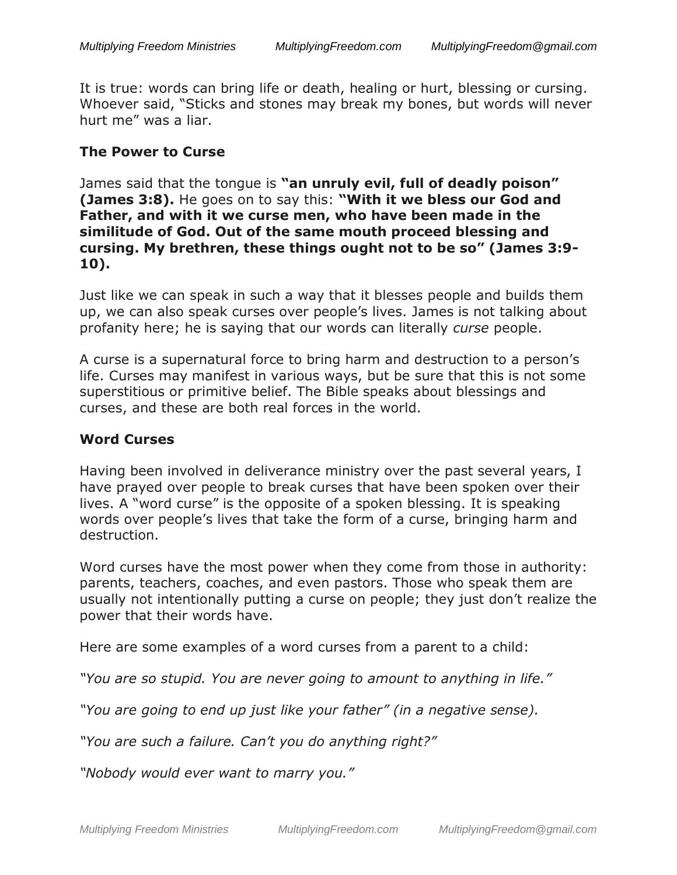It is true: words can bring life or death, healing or hurt, blessing or cursing. Whoever said, "Sticks and stones may break my bones, but words will never hurt me" was a liar.

#### **The Power to Curse**

James said that the tongue is **"an unruly evil, full of deadly poison" (James 3:8).** He goes on to say this: **"With it we bless our God and Father, and with it we curse men, who have been made in the similitude of God. Out of the same mouth proceed blessing and cursing. My brethren, these things ought not to be so" (James 3:9- 10).**

Just like we can speak in such a way that it blesses people and builds them up, we can also speak curses over people's lives. James is not talking about profanity here; he is saying that our words can literally *curse* people.

A curse is a supernatural force to bring harm and destruction to a person's life. Curses may manifest in various ways, but be sure that this is not some superstitious or primitive belief. The Bible speaks about blessings and curses, and these are both real forces in the world.

#### **Word Curses**

Having been involved in deliverance ministry over the past several years, I have prayed over people to break curses that have been spoken over their lives. A "word curse" is the opposite of a spoken blessing. It is speaking words over people's lives that take the form of a curse, bringing harm and destruction.

Word curses have the most power when they come from those in authority: parents, teachers, coaches, and even pastors. Those who speak them are usually not intentionally putting a curse on people; they just don't realize the power that their words have.

Here are some examples of a word curses from a parent to a child:

*"You are so stupid. You are never going to amount to anything in life."*

*"You are going to end up just like your father" (in a negative sense).*

*"You are such a failure. Can't you do anything right?"*

*"Nobody would ever want to marry you."*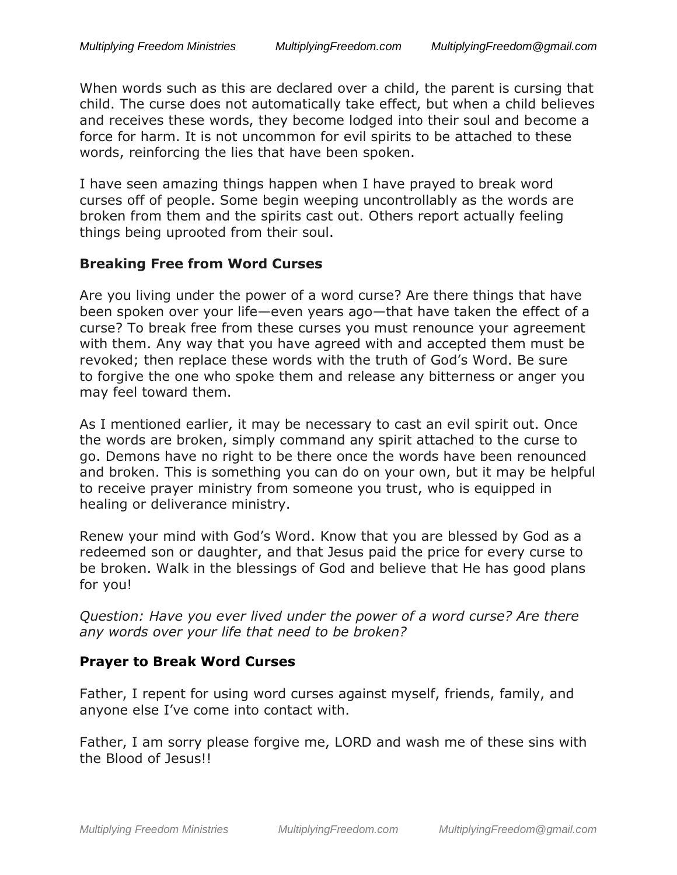When words such as this are declared over a child, the parent is cursing that child. The curse does not automatically take effect, but when a child believes and receives these words, they become lodged into their soul and become a force for harm. It is not uncommon for evil spirits to be attached to these words, reinforcing the lies that have been spoken.

I have seen amazing things happen when I have prayed to break word curses off of people. Some begin weeping uncontrollably as the words are broken from them and the spirits cast out. Others report actually feeling things being uprooted from their soul.

#### **Breaking Free from Word Curses**

Are you living under the power of a word curse? Are there things that have been spoken over your life—even years ago—that have taken the effect of a curse? To break free from these curses you must renounce your agreement with them. Any way that you have agreed with and accepted them must be revoked; then replace these words with the truth of God's Word. Be sure to forgive the one who spoke them and release any bitterness or anger you may feel toward them.

As I mentioned earlier, it may be necessary to cast an evil spirit out. Once the words are broken, simply command any spirit attached to the curse to go. Demons have no right to be there once the words have been renounced and broken. This is something you can do on your own, but it may be helpful to receive prayer ministry from someone you trust, who is equipped in healing or deliverance ministry.

Renew your mind with God's Word. Know that you are blessed by God as a redeemed son or daughter, and that Jesus paid the price for every curse to be broken. Walk in the blessings of God and believe that He has good plans for you!

*Question: Have you ever lived under the power of a word curse? Are there any words over your life that need to be broken?*

#### **Prayer to Break Word Curses**

Father, I repent for using word curses against myself, friends, family, and anyone else I've come into contact with.

Father, I am sorry please forgive me, LORD and wash me of these sins with the Blood of Jesus!!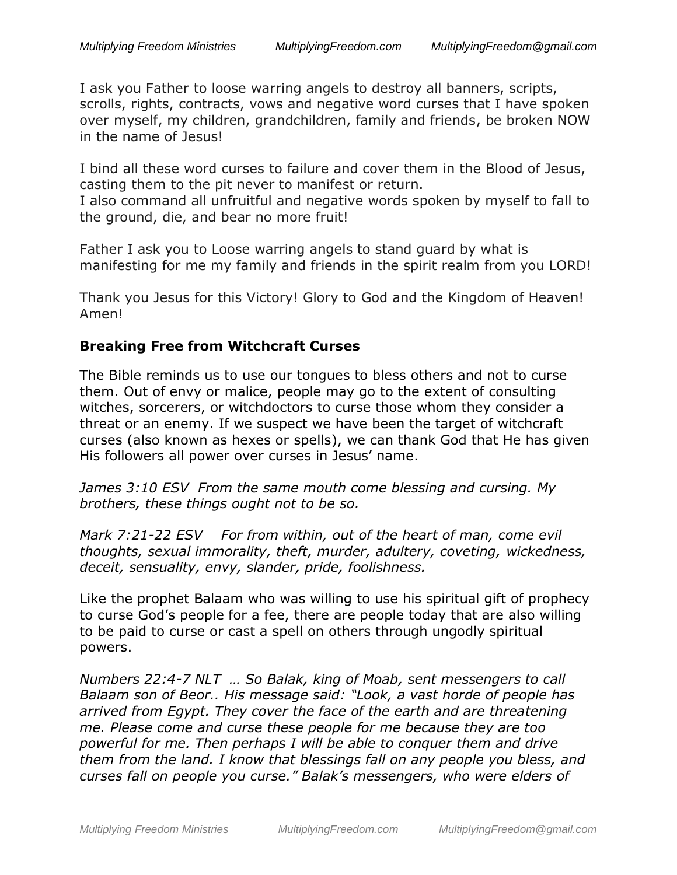I ask you Father to loose warring angels to destroy all banners, scripts, scrolls, rights, contracts, vows and negative word curses that I have spoken over myself, my children, grandchildren, family and friends, be broken NOW in the name of Jesus!

I bind all these word curses to failure and cover them in the Blood of Jesus, casting them to the pit never to manifest or return.

I also command all unfruitful and negative words spoken by myself to fall to the ground, die, and bear no more fruit!

Father I ask you to Loose warring angels to stand guard by what is manifesting for me my family and friends in the spirit realm from you LORD!

Thank you Jesus for this Victory! Glory to God and the Kingdom of Heaven! Amen!

#### **Breaking Free from Witchcraft Curses**

The Bible reminds us to use our tongues to bless others and not to curse them. Out of envy or malice, people may go to the extent of consulting witches, sorcerers, or witchdoctors to curse those whom they consider a threat or an enemy. If we suspect we have been the target of witchcraft curses (also known as hexes or spells), we can thank God that He has given His followers all power over curses in Jesus' name.

*James 3:10 ESV From the same mouth come blessing and cursing. My brothers, these things ought not to be so.*

*Mark 7:21-22 ESV For from within, out of the heart of man, come evil thoughts, sexual immorality, theft, murder, adultery, coveting, wickedness, deceit, sensuality, envy, slander, pride, foolishness.*

Like the prophet Balaam who was willing to use his spiritual gift of prophecy to curse God's people for a fee, there are people today that are also willing to be paid to curse or cast a spell on others through ungodly spiritual powers.

*Numbers 22:4-7 NLT … So Balak, king of Moab, sent messengers to call Balaam son of Beor.. His message said: "Look, a vast horde of people has arrived from Egypt. They cover the face of the earth and are threatening me. Please come and curse these people for me because they are too powerful for me. Then perhaps I will be able to conquer them and drive them from the land. I know that blessings fall on any people you bless, and curses fall on people you curse." Balak's messengers, who were elders of*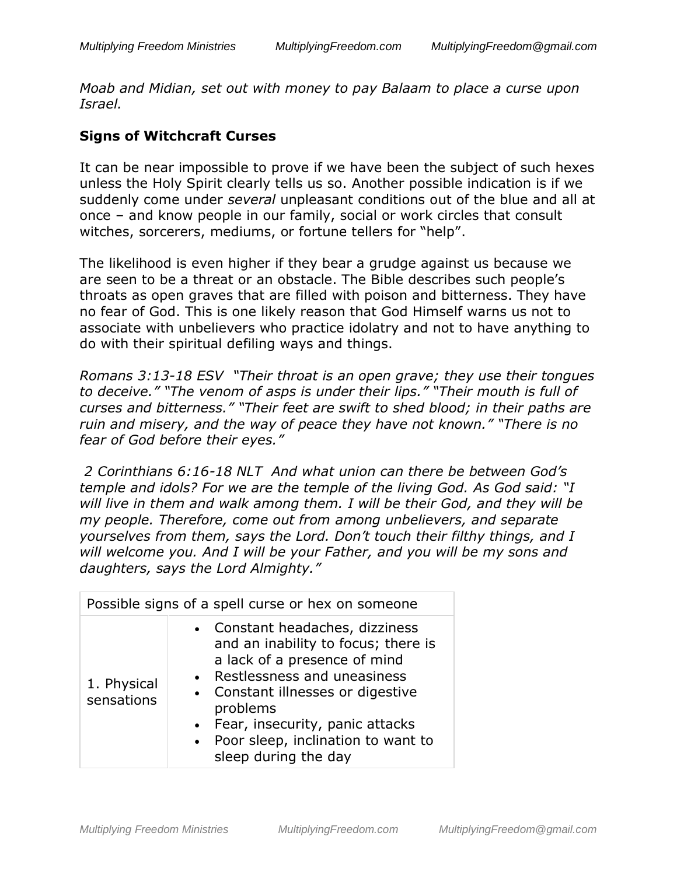*Moab and Midian, set out with money to pay Balaam to place a curse upon Israel.*

### **Signs of Witchcraft Curses**

It can be near impossible to prove if we have been the subject of such hexes unless the Holy Spirit clearly tells us so. Another possible indication is if we suddenly come under *several* unpleasant conditions out of the blue and all at once – and know people in our family, social or work circles that consult witches, sorcerers, mediums, or fortune tellers for "help".

The likelihood is even higher if they bear a grudge against us because we are seen to be a threat or an obstacle. The Bible describes such people's throats as open graves that are filled with poison and bitterness. They have no fear of God. This is one likely reason that God Himself warns us not to associate with unbelievers who practice idolatry and not to have anything to do with their spiritual defiling ways and things.

*Romans 3:13-18 ESV "Their throat is an open grave; they use their tongues to deceive." "The venom of asps is under their lips." "Their mouth is full of curses and bitterness." "Their feet are swift to shed blood; in their paths are ruin and misery, and the way of peace they have not known." "There is no fear of God before their eyes."*

*2 Corinthians 6:16-18 NLT And what union can there be between God's temple and idols? For we are the temple of the living God. As God said: "I will live in them and walk among them. I will be their God, and they will be my people. Therefore, come out from among unbelievers, and separate yourselves from them, says the Lord. Don't touch their filthy things, and I will welcome you. And I will be your Father, and you will be my sons and daughters, says the Lord Almighty."*

| Possible signs of a spell curse or hex on someone |                                                                                                                                                                                                                                                                                               |  |
|---------------------------------------------------|-----------------------------------------------------------------------------------------------------------------------------------------------------------------------------------------------------------------------------------------------------------------------------------------------|--|
| 1. Physical<br>sensations                         | • Constant headaches, dizziness<br>and an inability to focus; there is<br>a lack of a presence of mind<br>• Restlessness and uneasiness<br>• Constant illnesses or digestive<br>problems<br>• Fear, insecurity, panic attacks<br>• Poor sleep, inclination to want to<br>sleep during the day |  |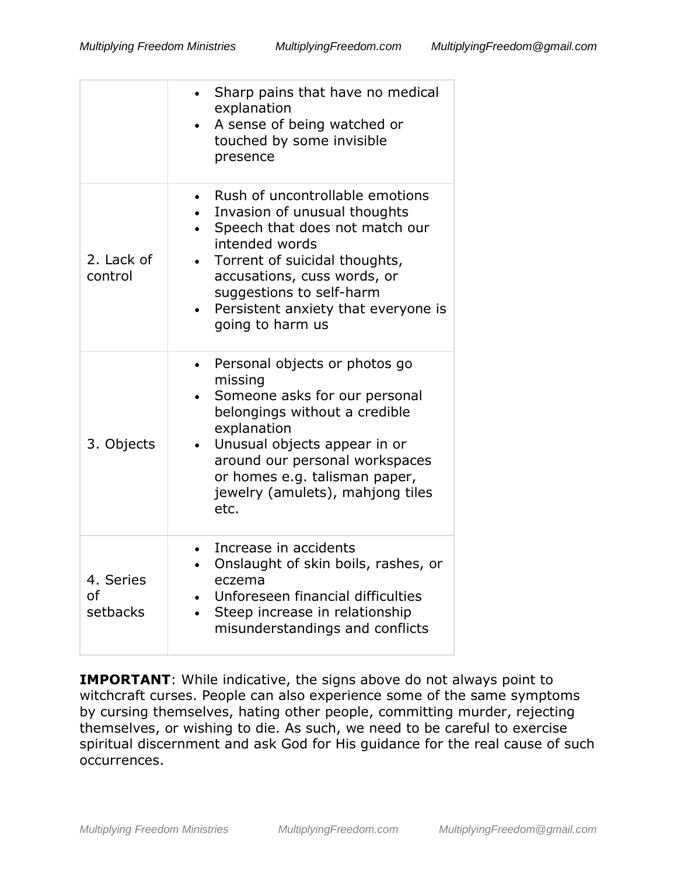|                             | Sharp pains that have no medical<br>$\bullet$<br>explanation<br>A sense of being watched or<br>touched by some invisible<br>presence                                                                                                                                                    |
|-----------------------------|-----------------------------------------------------------------------------------------------------------------------------------------------------------------------------------------------------------------------------------------------------------------------------------------|
| 2. Lack of<br>control       | Rush of uncontrollable emotions<br>Invasion of unusual thoughts<br>Speech that does not match our<br>$\bullet$<br>intended words<br>Torrent of suicidal thoughts,<br>accusations, cuss words, or<br>suggestions to self-harm<br>Persistent anxiety that everyone is<br>going to harm us |
| 3. Objects                  | Personal objects or photos go<br>$\bullet$<br>missing<br>Someone asks for our personal<br>belongings without a credible<br>explanation<br>Unusual objects appear in or<br>around our personal workspaces<br>or homes e.g. talisman paper,<br>jewelry (amulets), mahjong tiles<br>etc.   |
| 4. Series<br>οf<br>setbacks | Increase in accidents<br>Onslaught of skin boils, rashes, or<br>$\bullet$<br>eczema<br>Unforeseen financial difficulties<br>Steep increase in relationship<br>$\bullet$<br>misunderstandings and conflicts                                                                              |

**IMPORTANT:** While indicative, the signs above do not always point to witchcraft curses. People can also experience some of the same symptoms by cursing themselves, hating other people, committing murder, rejecting themselves, or wishing to die. As such, we need to be careful to exercise spiritual discernment and ask God for His guidance for the real cause of such occurrences.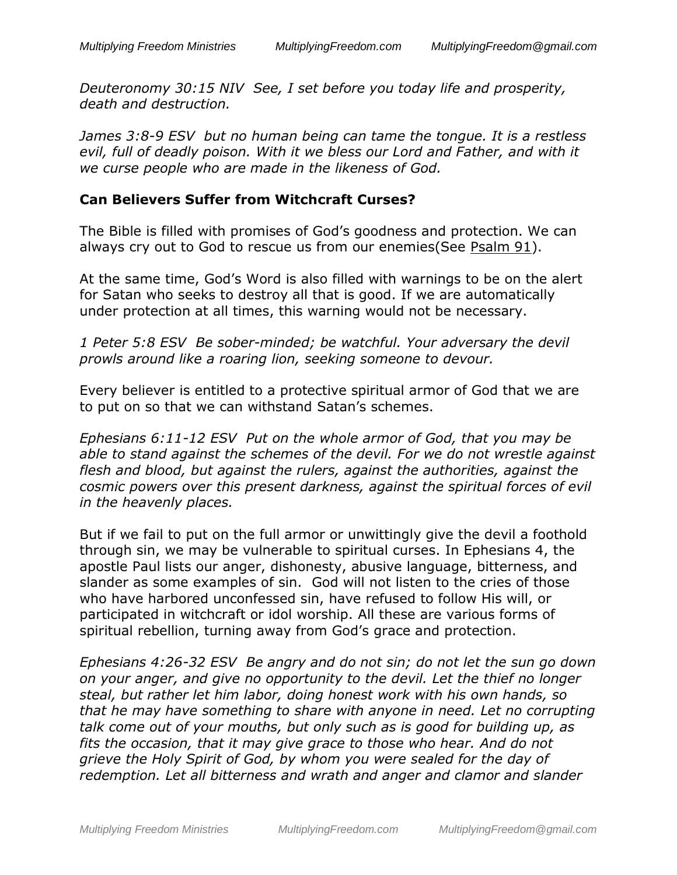*Deuteronomy 30:15 NIV See, I set before you today life and prosperity, death and destruction.*

*James 3:8-9 ESV but no human being can tame the tongue. It is a restless evil, full of deadly poison. With it we bless our Lord and Father, and with it we curse people who are made in the likeness of God.*

#### **Can Believers Suffer from Witchcraft Curses?**

The Bible is filled with promises of God's goodness and protection. We can always cry out to God to rescue us from our enemies (See [Psalm 91\)](https://www.biblegateway.com/passage/?search=Psalm+91&version=ESV).

At the same time, God's Word is also filled with warnings to be on the alert for Satan who seeks to destroy all that is good. If we are automatically under protection at all times, this warning would not be necessary.

*1 Peter 5:8 ESV Be sober-minded; be watchful. Your adversary the devil prowls around like a roaring lion, seeking someone to devour.*

Every believer is entitled to a protective spiritual armor of God that we are to put on so that we can withstand Satan's schemes.

*Ephesians 6:11-12 ESV Put on the whole armor of God, that you may be able to stand against the schemes of the devil. For we do not wrestle against flesh and blood, but against the rulers, against the authorities, against the cosmic powers over this present darkness, against the spiritual forces of evil in the heavenly places.*

But if we fail to put on the full armor or unwittingly give the devil a foothold through sin, we may be vulnerable to spiritual curses. In Ephesians 4, the apostle Paul lists our anger, dishonesty, abusive language, bitterness, and slander as some examples of sin. God will not listen to the cries of those who have harbored unconfessed sin, have refused to follow His will, or participated in witchcraft or idol worship. All these are various forms of spiritual rebellion, turning away from God's grace and protection.

*Ephesians 4:26-32 ESV Be angry and do not sin; do not let the sun go down on your anger, and give no opportunity to the devil. Let the thief no longer steal, but rather let him labor, doing honest work with his own hands, so that he may have something to share with anyone in need. Let no corrupting talk come out of your mouths, but only such as is good for building up, as fits the occasion, that it may give grace to those who hear. And do not grieve the Holy Spirit of God, by whom you were sealed for the day of redemption. Let all bitterness and wrath and anger and clamor and slander*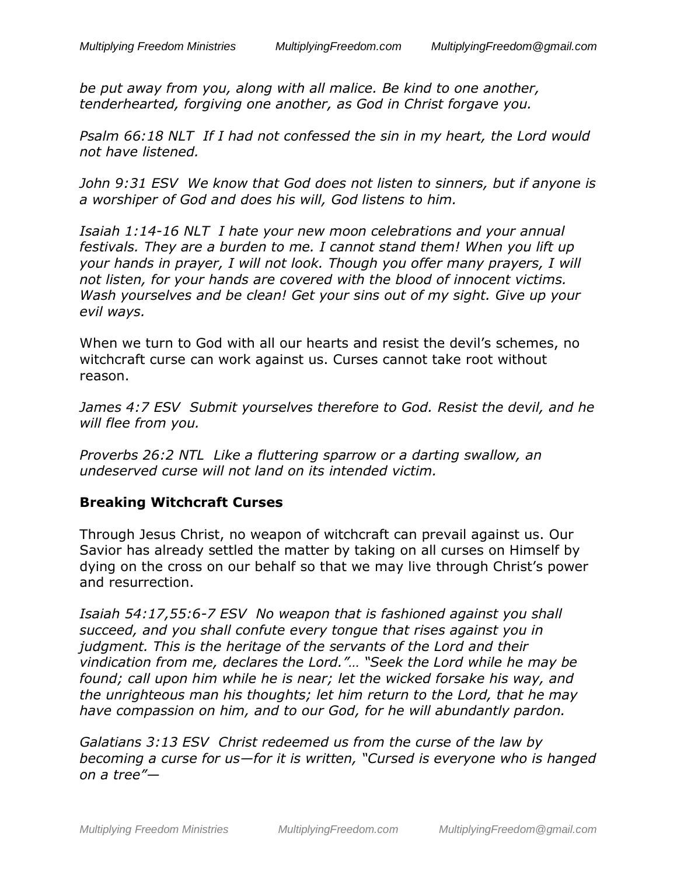*be put away from you, along with all malice. Be kind to one another, tenderhearted, forgiving one another, as God in Christ forgave you.*

*Psalm 66:18 NLT If I had not confessed the sin in my heart, the Lord would not have listened.*

*John 9:31 ESV We know that God does not listen to sinners, but if anyone is a worshiper of God and does his will, God listens to him.*

*Isaiah 1:14-16 NLT I hate your new moon celebrations and your annual festivals. They are a burden to me. I cannot stand them! When you lift up your hands in prayer, I will not look. Though you offer many prayers, I will not listen, for your hands are covered with the blood of innocent victims. Wash yourselves and be clean! Get your sins out of my sight. Give up your evil ways.*

When we turn to God with all our hearts and resist the devil's schemes, no witchcraft curse can work against us. Curses cannot take root without reason.

*James 4:7 ESV Submit yourselves therefore to God. Resist the devil, and he will flee from you.*

*Proverbs 26:2 NTL Like a fluttering sparrow or a darting swallow, an undeserved curse will not land on its intended victim.*

### **Breaking Witchcraft Curses**

Through Jesus Christ, no weapon of witchcraft can prevail against us. Our Savior has already settled the matter by taking on all curses on Himself by dying on the cross on our behalf so that we may live through Christ's power and resurrection.

*Isaiah 54:17,55:6-7 ESV No weapon that is fashioned against you shall succeed, and you shall confute every tongue that rises against you in judgment. This is the heritage of the servants of the Lord and their vindication from me, declares the Lord."… "Seek the Lord while he may be found; call upon him while he is near; let the wicked forsake his way, and the unrighteous man his thoughts; let him return to the Lord, that he may have compassion on him, and to our God, for he will abundantly pardon.*

*Galatians 3:13 ESV Christ redeemed us from the curse of the law by becoming a curse for us—for it is written, "Cursed is everyone who is hanged on a tree"—*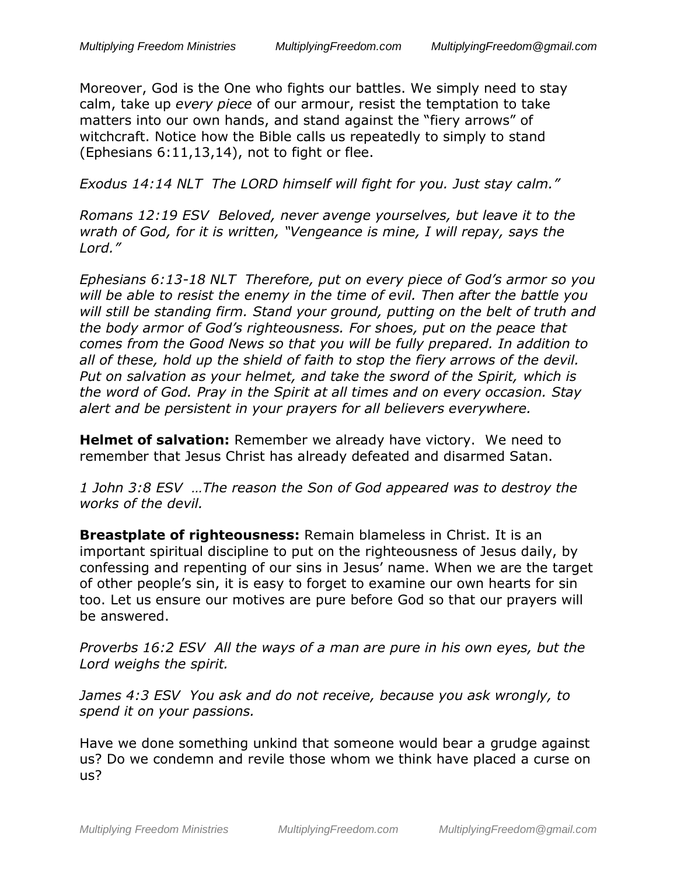Moreover, God is the One who fights our battles. We simply need to stay calm, take up *every piece* of our armour, resist the temptation to take matters into our own hands, and stand against the "fiery arrows" of witchcraft. Notice how the Bible calls us repeatedly to simply to stand (Ephesians 6:11,13,14), not to fight or flee.

*Exodus 14:14 NLT The LORD himself will fight for you. Just stay calm."*

*Romans 12:19 ESV Beloved, never avenge yourselves, but leave it to the wrath of God, for it is written, "Vengeance is mine, I will repay, says the Lord."*

*Ephesians 6:13-18 NLT Therefore, put on every piece of God's armor so you will be able to resist the enemy in the time of evil. Then after the battle you will still be standing firm. Stand your ground, putting on the belt of truth and the body armor of God's righteousness. For shoes, put on the peace that comes from the Good News so that you will be fully prepared. In addition to all of these, hold up the shield of faith to stop the fiery arrows of the devil. Put on salvation as your helmet, and take the sword of the Spirit, which is the word of God. Pray in the Spirit at all times and on every occasion. Stay alert and be persistent in your prayers for all believers everywhere.*

**Helmet of salvation:** Remember we already have victory. We need to remember that Jesus Christ has already defeated and disarmed Satan.

*1 John 3:8 ESV …The reason the Son of God appeared was to destroy the works of the devil.*

**Breastplate of righteousness:** Remain blameless in Christ. It is an important spiritual discipline to put on the righteousness of Jesus daily, by confessing and repenting of our sins in Jesus' name. When we are the target of other people's sin, it is easy to forget to examine our own hearts for sin too. Let us ensure our motives are pure before God so that our prayers will be answered.

*Proverbs 16:2 ESV All the ways of a man are pure in his own eyes, but the Lord weighs the spirit.*

*James 4:3 ESV You ask and do not receive, because you ask wrongly, to spend it on your passions.*

Have we done something unkind that someone would bear a grudge against us? Do we condemn and revile those whom we think have placed a curse on us?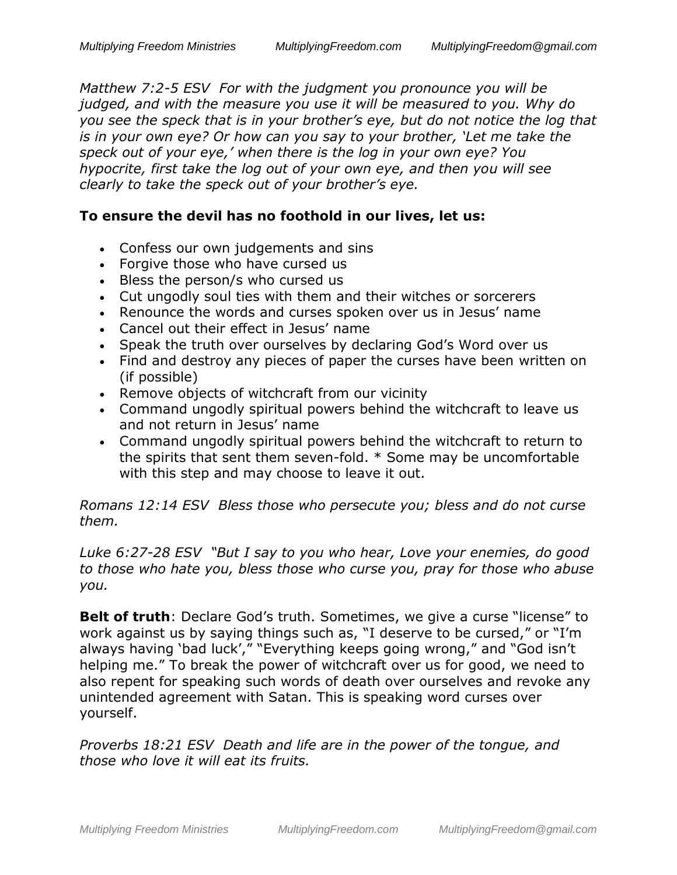*Matthew 7:2-5 ESV For with the judgment you pronounce you will be judged, and with the measure you use it will be measured to you. Why do you see the speck that is in your brother's eye, but do not notice the log that is in your own eye? Or how can you say to your brother, 'Let me take the speck out of your eye,' when there is the log in your own eye? You hypocrite, first take the log out of your own eye, and then you will see clearly to take the speck out of your brother's eye.*

#### **To ensure the devil has no foothold in our lives, let us:**

- Confess our own judgements and sins
- Forgive those who have cursed us
- Bless the person/s who cursed us
- Cut ungodly soul ties with them and their witches or sorcerers
- Renounce the words and curses spoken over us in Jesus' name
- Cancel out their effect in Jesus' name
- Speak the truth over ourselves by declaring God's Word over us
- Find and destroy any pieces of paper the curses have been written on (if possible)
- Remove objects of witchcraft from our vicinity
- Command ungodly spiritual powers behind the witchcraft to leave us and not return in Jesus' name
- Command ungodly spiritual powers behind the witchcraft to return to the spirits that sent them seven-fold. \* Some may be uncomfortable with this step and may choose to leave it out.

*Romans 12:14 ESV Bless those who persecute you; bless and do not curse them.*

*Luke 6:27-28 ESV "But I say to you who hear, Love your enemies, do good to those who hate you, bless those who curse you, pray for those who abuse you.*

**Belt of truth**: Declare God's truth. Sometimes, we give a curse "license" to work against us by saying things such as, "I deserve to be cursed," or "I'm always having 'bad luck'," "Everything keeps going wrong," and "God isn't helping me." To break the power of witchcraft over us for good, we need to also repent for speaking such words of death over ourselves and revoke any unintended agreement with Satan. This is speaking word curses over yourself.

*Proverbs 18:21 ESV Death and life are in the power of the tongue, and those who love it will eat its fruits.*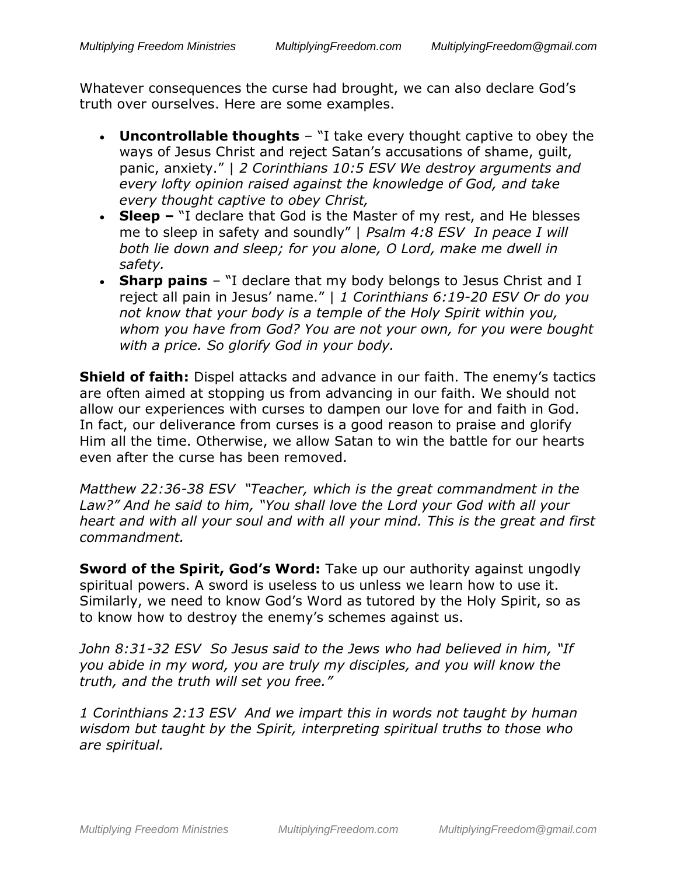Whatever consequences the curse had brought, we can also declare God's truth over ourselves. Here are some examples.

- **Uncontrollable thoughts** "I take every thought captive to obey the ways of Jesus Christ and reject Satan's accusations of shame, quilt, panic, anxiety." | *2 Corinthians 10:5 ESV We destroy arguments and every lofty opinion raised against the knowledge of God, and take every thought captive to obey Christ,*
- **Sleep –** "I declare that God is the Master of my rest, and He blesses me to sleep in safety and soundly" | *Psalm 4:8 ESV In peace I will both lie down and sleep; for you alone, O Lord, make me dwell in safety.*
- **Sharp pains** "I declare that my body belongs to Jesus Christ and I reject all pain in Jesus' name." | *1 Corinthians 6:19-20 ESV Or do you not know that your body is a temple of the Holy Spirit within you, whom you have from God? You are not your own, for you were bought with a price. So glorify God in your body.*

**Shield of faith:** Dispel attacks and advance in our faith. The enemy's tactics are often aimed at stopping us from advancing in our faith. We should not allow our experiences with curses to dampen our love for and faith in God. In fact, our deliverance from curses is a good reason to praise and glorify Him all the time. Otherwise, we allow Satan to win the battle for our hearts even after the curse has been removed.

*Matthew 22:36-38 ESV "Teacher, which is the great commandment in the Law?" And he said to him, "You shall love the Lord your God with all your heart and with all your soul and with all your mind. This is the great and first commandment.*

**Sword of the Spirit, God's Word:** Take up our authority against ungodly spiritual powers. A sword is useless to us unless we learn how to use it. Similarly, we need to know God's Word as tutored by the Holy Spirit, so as to know how to destroy the enemy's schemes against us.

*John 8:31-32 ESV So Jesus said to the Jews who had believed in him, "If you abide in my word, you are truly my disciples, and you will know the truth, and the truth will set you free."* 

*1 Corinthians 2:13 ESV And we impart this in words not taught by human wisdom but taught by the Spirit, interpreting spiritual truths to those who are spiritual.*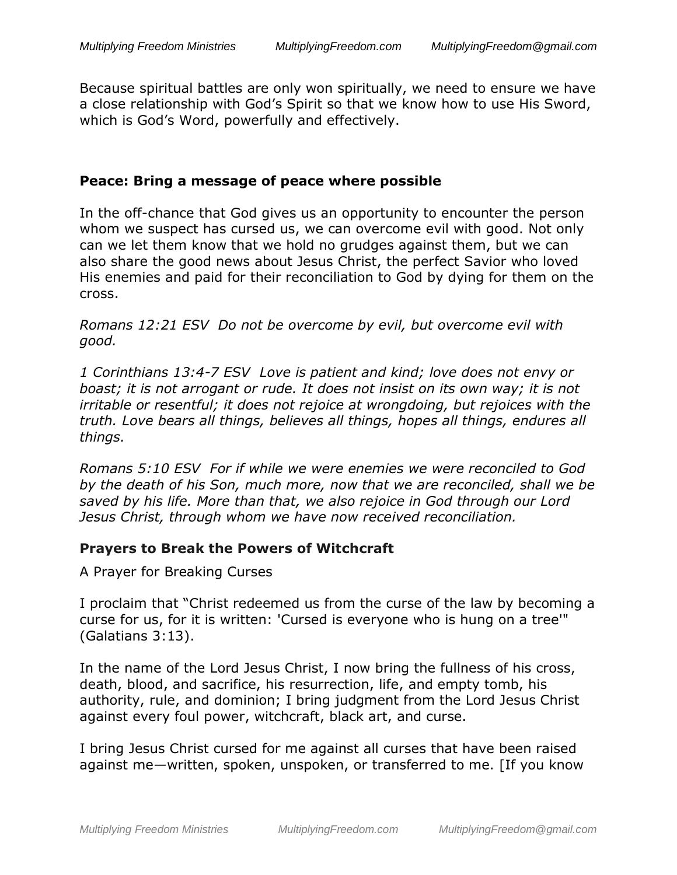Because spiritual battles are only won spiritually, we need to ensure we have a close relationship with God's Spirit so that we know how to use His Sword, which is God's Word, powerfully and effectively.

#### **Peace: Bring a message of peace where possible**

In the off-chance that God gives us an opportunity to encounter the person whom we suspect has cursed us, we can overcome evil with good. Not only can we let them know that we hold no grudges against them, but we can also share the good news about Jesus Christ, the perfect Savior who loved His enemies and paid for their reconciliation to God by dying for them on the cross.

*Romans 12:21 ESV Do not be overcome by evil, but overcome evil with good.*

*1 Corinthians 13:4-7 ESV Love is patient and kind; love does not envy or boast; it is not arrogant or rude. It does not insist on its own way; it is not irritable or resentful; it does not rejoice at wrongdoing, but rejoices with the truth. Love bears all things, believes all things, hopes all things, endures all things.*

*Romans 5:10 ESV For if while we were enemies we were reconciled to God by the death of his Son, much more, now that we are reconciled, shall we be saved by his life. More than that, we also rejoice in God through our Lord Jesus Christ, through whom we have now received reconciliation.*

#### **Prayers to Break the Powers of Witchcraft**

A Prayer for Breaking Curses

I proclaim that "Christ redeemed us from the curse of the law by becoming a curse for us, for it is written: 'Cursed is everyone who is hung on a tree'" (Galatians 3:13).

In the name of the Lord Jesus Christ, I now bring the fullness of his cross, death, blood, and sacrifice, his resurrection, life, and empty tomb, his authority, rule, and dominion; I bring judgment from the Lord Jesus Christ against every foul power, witchcraft, black art, and curse.

I bring Jesus Christ cursed for me against all curses that have been raised against me—written, spoken, unspoken, or transferred to me. [If you know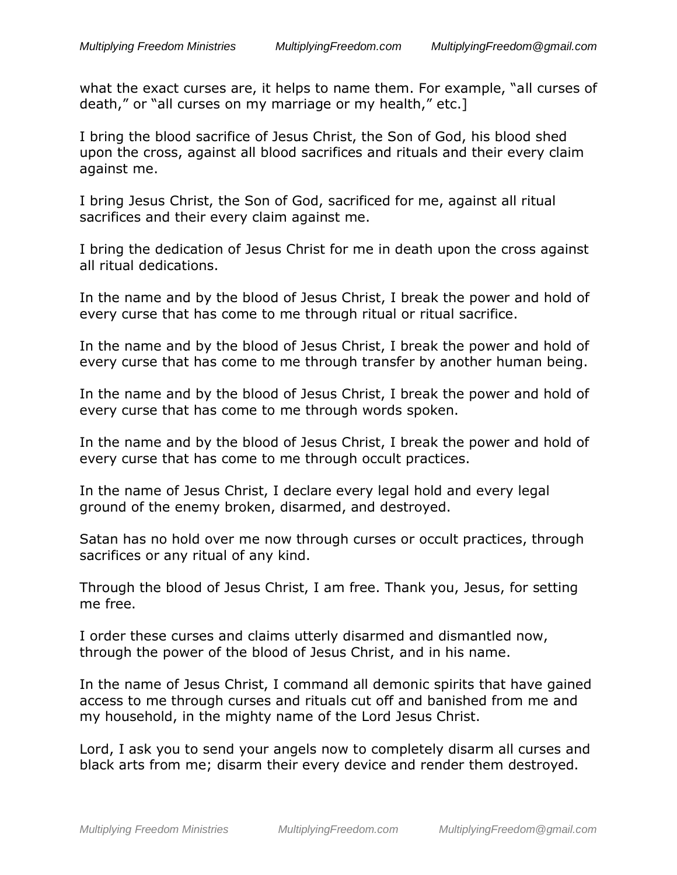what the exact curses are, it helps to name them. For example, "all curses of death," or "all curses on my marriage or my health," etc.]

I bring the blood sacrifice of Jesus Christ, the Son of God, his blood shed upon the cross, against all blood sacrifices and rituals and their every claim against me.

I bring Jesus Christ, the Son of God, sacrificed for me, against all ritual sacrifices and their every claim against me.

I bring the dedication of Jesus Christ for me in death upon the cross against all ritual dedications.

In the name and by the blood of Jesus Christ, I break the power and hold of every curse that has come to me through ritual or ritual sacrifice.

In the name and by the blood of Jesus Christ, I break the power and hold of every curse that has come to me through transfer by another human being.

In the name and by the blood of Jesus Christ, I break the power and hold of every curse that has come to me through words spoken.

In the name and by the blood of Jesus Christ, I break the power and hold of every curse that has come to me through occult practices.

In the name of Jesus Christ, I declare every legal hold and every legal ground of the enemy broken, disarmed, and destroyed.

Satan has no hold over me now through curses or occult practices, through sacrifices or any ritual of any kind.

Through the blood of Jesus Christ, I am free. Thank you, Jesus, for setting me free.

I order these curses and claims utterly disarmed and dismantled now, through the power of the blood of Jesus Christ, and in his name.

In the name of Jesus Christ, I command all demonic spirits that have gained access to me through curses and rituals cut off and banished from me and my household, in the mighty name of the Lord Jesus Christ.

Lord, I ask you to send your angels now to completely disarm all curses and black arts from me; disarm their every device and render them destroyed.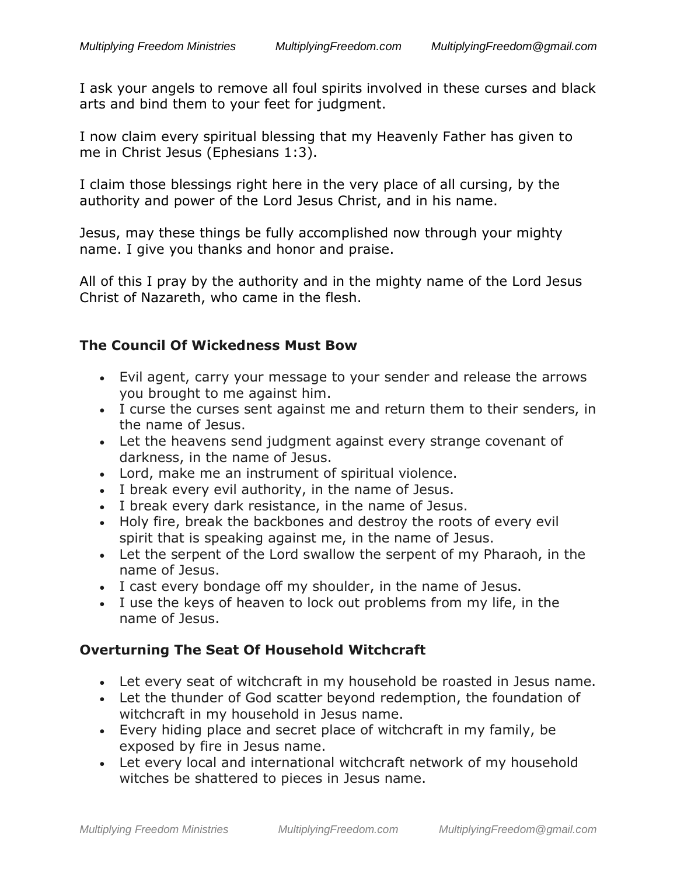I ask your angels to remove all foul spirits involved in these curses and black arts and bind them to your feet for judgment.

I now claim every spiritual blessing that my Heavenly Father has given to me in Christ Jesus (Ephesians 1:3).

I claim those blessings right here in the very place of all cursing, by the authority and power of the Lord Jesus Christ, and in his name.

Jesus, may these things be fully accomplished now through your mighty name. I give you thanks and honor and praise.

All of this I pray by the authority and in the mighty name of the Lord Jesus Christ of Nazareth, who came in the flesh.

#### **The Council Of Wickedness Must Bow**

- Evil agent, carry your message to your sender and release the arrows you brought to me against him.
- I curse the curses sent against me and return them to their senders, in the name of Jesus.
- Let the heavens send judgment against every strange covenant of darkness, in the name of Jesus.
- Lord, make me an instrument of spiritual violence.
- I break every evil authority, in the name of Jesus.
- I break every dark resistance, in the name of Jesus.
- Holy fire, break the backbones and destroy the roots of every evil spirit that is speaking against me, in the name of Jesus.
- Let the serpent of the Lord swallow the serpent of my Pharaoh, in the name of Jesus.
- I cast every bondage off my shoulder, in the name of Jesus.
- I use the keys of heaven to lock out problems from my life, in the name of Jesus.

### **Overturning The Seat Of Household Witchcraft**

- Let every seat of witchcraft in my household be roasted in Jesus name.
- Let the thunder of God scatter beyond redemption, the foundation of witchcraft in my household in Jesus name.
- Every hiding place and secret place of witchcraft in my family, be exposed by fire in Jesus name.
- Let every local and international witchcraft network of my household witches be shattered to pieces in Jesus name.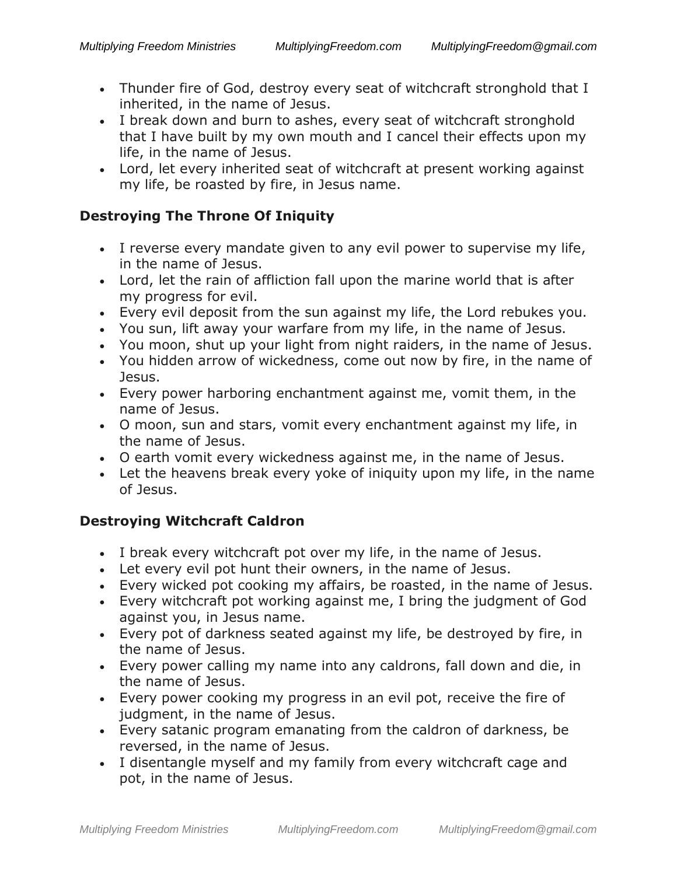- Thunder fire of God, destroy every seat of witchcraft stronghold that I inherited, in the name of Jesus.
- I break down and burn to ashes, every seat of witchcraft stronghold that I have built by my own mouth and I cancel their effects upon my life, in the name of Jesus.
- Lord, let every inherited seat of witchcraft at present working against my life, be roasted by fire, in Jesus name.

### **Destroying The Throne Of Iniquity**

- I reverse every mandate given to any evil power to supervise my life, in the name of Jesus.
- Lord, let the rain of affliction fall upon the marine world that is after my progress for evil.
- Every evil deposit from the sun against my life, the Lord rebukes you.
- You sun, lift away your warfare from my life, in the name of Jesus.
- You moon, shut up your light from night raiders, in the name of Jesus.
- You hidden arrow of wickedness, come out now by fire, in the name of Jesus.
- Every power harboring enchantment against me, vomit them, in the name of Jesus.
- O moon, sun and stars, vomit every enchantment against my life, in the name of Jesus.
- O earth vomit every wickedness against me, in the name of Jesus.
- Let the heavens break every yoke of iniquity upon my life, in the name of Jesus.

## **Destroying Witchcraft Caldron**

- I break every witchcraft pot over my life, in the name of Jesus.
- Let every evil pot hunt their owners, in the name of Jesus.
- Every wicked pot cooking my affairs, be roasted, in the name of Jesus.
- Every witchcraft pot working against me, I bring the judgment of God against you, in Jesus name.
- Every pot of darkness seated against my life, be destroyed by fire, in the name of Jesus.
- Every power calling my name into any caldrons, fall down and die, in the name of Jesus.
- Every power cooking my progress in an evil pot, receive the fire of judgment, in the name of Jesus.
- Every satanic program emanating from the caldron of darkness, be reversed, in the name of Jesus.
- I disentangle myself and my family from every witchcraft cage and pot, in the name of Jesus.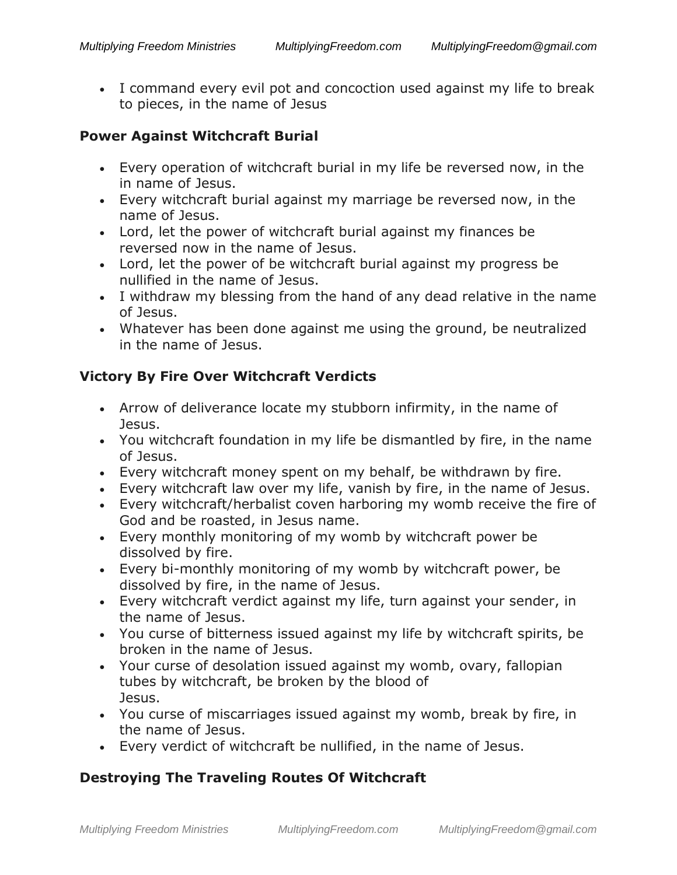• I command every evil pot and concoction used against my life to break to pieces, in the name of Jesus

#### **Power Against Witchcraft Burial**

- Every operation of witchcraft burial in my life be reversed now, in the in name of Jesus.
- Every witchcraft burial against my marriage be reversed now, in the name of Jesus.
- Lord, let the power of witchcraft burial against my finances be reversed now in the name of Jesus.
- Lord, let the power of be witchcraft burial against my progress be nullified in the name of Jesus.
- I withdraw my blessing from the hand of any dead relative in the name of Jesus.
- Whatever has been done against me using the ground, be neutralized in the name of Jesus.

### **Victory By Fire Over Witchcraft Verdicts**

- Arrow of deliverance locate my stubborn infirmity, in the name of Jesus.
- You witchcraft foundation in my life be dismantled by fire, in the name of Jesus.
- Every witchcraft money spent on my behalf, be withdrawn by fire.
- Every witchcraft law over my life, vanish by fire, in the name of Jesus.
- Every witchcraft/herbalist coven harboring my womb receive the fire of God and be roasted, in Jesus name.
- Every monthly monitoring of my womb by witchcraft power be dissolved by fire.
- Every bi-monthly monitoring of my womb by witchcraft power, be dissolved by fire, in the name of Jesus.
- Every witchcraft verdict against my life, turn against your sender, in the name of Jesus.
- You curse of bitterness issued against my life by witchcraft spirits, be broken in the name of Jesus.
- Your curse of desolation issued against my womb, ovary, fallopian tubes by witchcraft, be broken by the blood of Jesus.
- You curse of miscarriages issued against my womb, break by fire, in the name of Jesus.
- Every verdict of witchcraft be nullified, in the name of Jesus.

## **Destroying The Traveling Routes Of Witchcraft**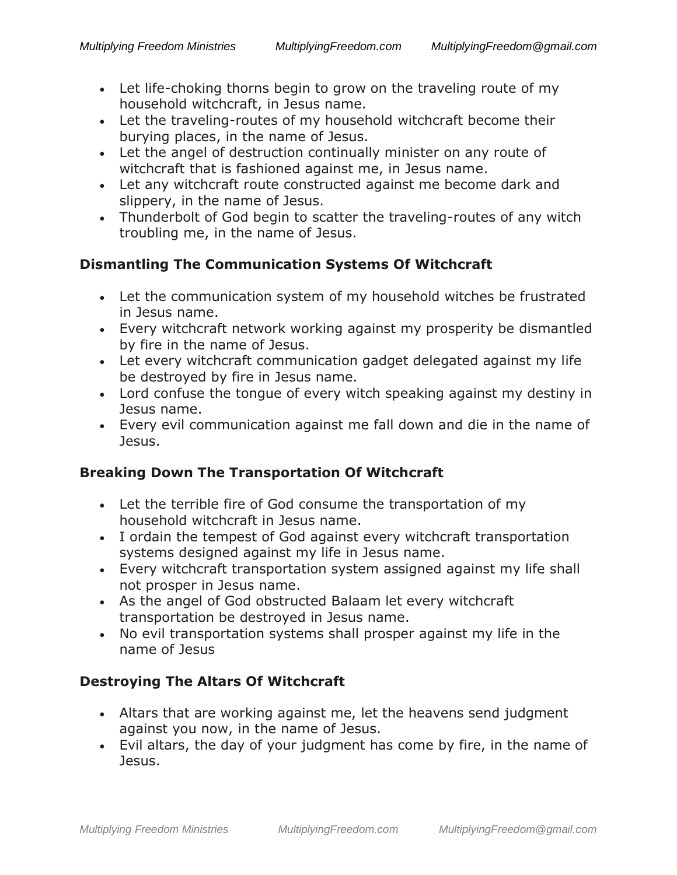- Let life-choking thorns begin to grow on the traveling route of my household witchcraft, in Jesus name.
- Let the traveling-routes of my household witchcraft become their burying places, in the name of Jesus.
- Let the angel of destruction continually minister on any route of witchcraft that is fashioned against me, in Jesus name.
- Let any witchcraft route constructed against me become dark and slippery, in the name of Jesus.
- Thunderbolt of God begin to scatter the traveling-routes of any witch troubling me, in the name of Jesus.

## **Dismantling The Communication Systems Of Witchcraft**

- Let the communication system of my household witches be frustrated in Jesus name.
- Every witchcraft network working against my prosperity be dismantled by fire in the name of Jesus.
- Let every witchcraft communication gadget delegated against my life be destroyed by fire in Jesus name.
- Lord confuse the tongue of every witch speaking against my destiny in Jesus name.
- Every evil communication against me fall down and die in the name of Jesus.

## **Breaking Down The Transportation Of Witchcraft**

- Let the terrible fire of God consume the transportation of my household witchcraft in Jesus name.
- I ordain the tempest of God against every witchcraft transportation systems designed against my life in Jesus name.
- Every witchcraft transportation system assigned against my life shall not prosper in Jesus name.
- As the angel of God obstructed Balaam let every witchcraft transportation be destroyed in Jesus name.
- No evil transportation systems shall prosper against my life in the name of Jesus

## **Destroying The Altars Of Witchcraft**

- Altars that are working against me, let the heavens send judgment against you now, in the name of Jesus.
- Evil altars, the day of your judgment has come by fire, in the name of Jesus.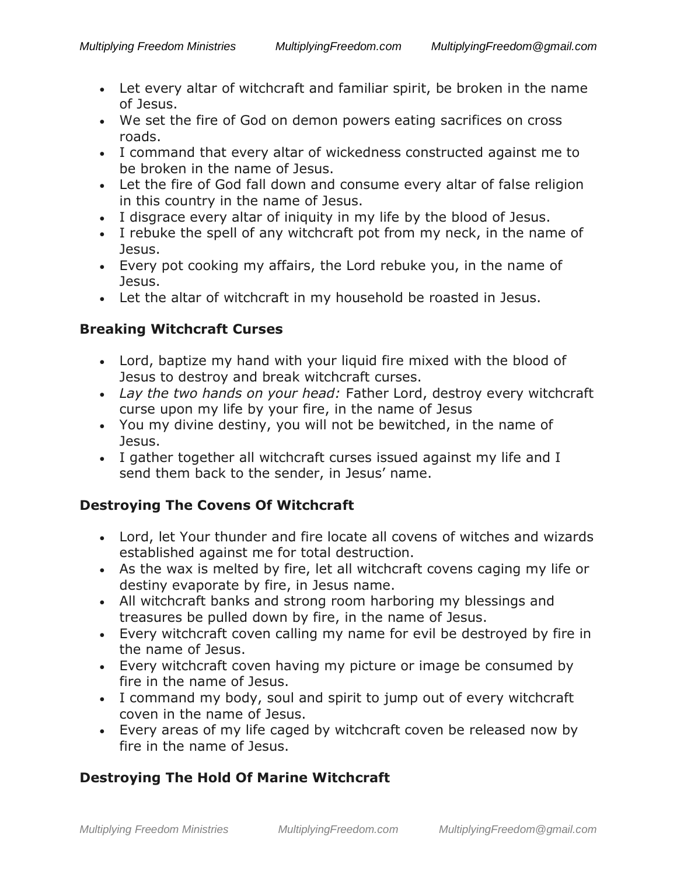- Let every altar of witchcraft and familiar spirit, be broken in the name of Jesus.
- We set the fire of God on demon powers eating sacrifices on cross roads.
- I command that every altar of wickedness constructed against me to be broken in the name of Jesus.
- Let the fire of God fall down and consume every altar of false religion in this country in the name of Jesus.
- I disgrace every altar of iniquity in my life by the blood of Jesus.
- I rebuke the spell of any witchcraft pot from my neck, in the name of Jesus.
- Every pot cooking my affairs, the Lord rebuke you, in the name of Jesus.
- Let the altar of witchcraft in my household be roasted in Jesus.

## **Breaking Witchcraft Curses**

- Lord, baptize my hand with your liquid fire mixed with the blood of Jesus to destroy and break witchcraft curses.
- *Lay the two hands on your head:* Father Lord, destroy every witchcraft curse upon my life by your fire, in the name of Jesus
- You my divine destiny, you will not be bewitched, in the name of Jesus.
- I gather together all witchcraft curses issued against my life and I send them back to the sender, in Jesus' name.

## **Destroying The Covens Of Witchcraft**

- Lord, let Your thunder and fire locate all covens of witches and wizards established against me for total destruction.
- As the wax is melted by fire, let all witchcraft covens caging my life or destiny evaporate by fire, in Jesus name.
- All witchcraft banks and strong room harboring my blessings and treasures be pulled down by fire, in the name of Jesus.
- Every witchcraft coven calling my name for evil be destroyed by fire in the name of Jesus.
- Every witchcraft coven having my picture or image be consumed by fire in the name of Jesus.
- I command my body, soul and spirit to jump out of every witchcraft coven in the name of Jesus.
- Every areas of my life caged by witchcraft coven be released now by fire in the name of Jesus.

## **Destroying The Hold Of Marine Witchcraft**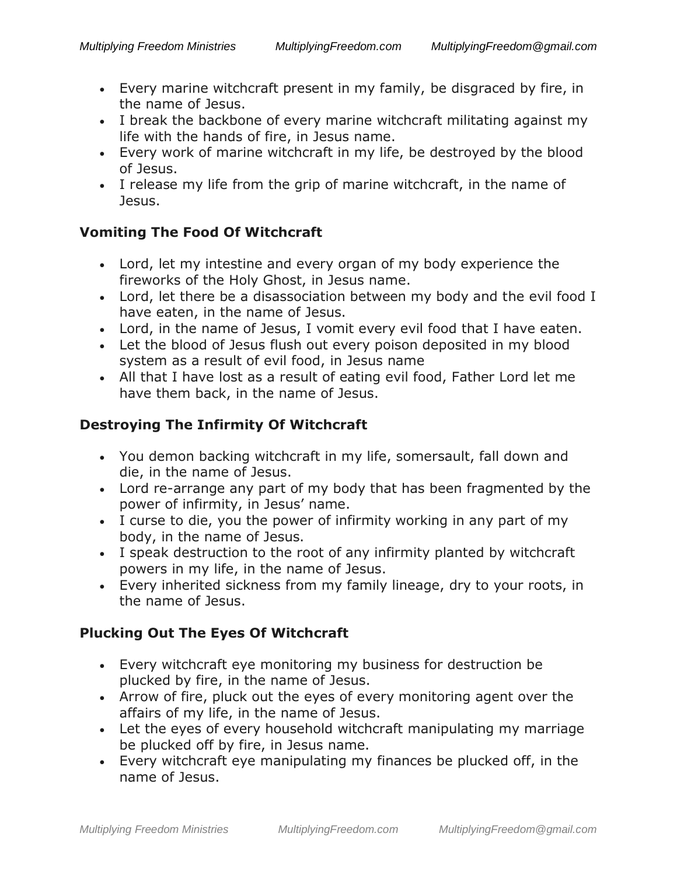- Every marine witchcraft present in my family, be disgraced by fire, in the name of Jesus.
- I break the backbone of every marine witchcraft militating against my life with the hands of fire, in Jesus name.
- Every work of marine witchcraft in my life, be destroyed by the blood of Jesus.
- I release my life from the grip of marine witchcraft, in the name of Jesus.

## **Vomiting The Food Of Witchcraft**

- Lord, let my intestine and every organ of my body experience the fireworks of the Holy Ghost, in Jesus name.
- Lord, let there be a disassociation between my body and the evil food I have eaten, in the name of Jesus.
- Lord, in the name of Jesus, I vomit every evil food that I have eaten.
- Let the blood of Jesus flush out every poison deposited in my blood system as a result of evil food, in Jesus name
- All that I have lost as a result of eating evil food, Father Lord let me have them back, in the name of Jesus.

## **Destroying The Infirmity Of Witchcraft**

- You demon backing witchcraft in my life, somersault, fall down and die, in the name of Jesus.
- Lord re-arrange any part of my body that has been fragmented by the power of infirmity, in Jesus' name.
- I curse to die, you the power of infirmity working in any part of my body, in the name of Jesus.
- I speak destruction to the root of any infirmity planted by witchcraft powers in my life, in the name of Jesus.
- Every inherited sickness from my family lineage, dry to your roots, in the name of Jesus.

## **Plucking Out The Eyes Of Witchcraft**

- Every witchcraft eye monitoring my business for destruction be plucked by fire, in the name of Jesus.
- Arrow of fire, pluck out the eyes of every monitoring agent over the affairs of my life, in the name of Jesus.
- Let the eyes of every household witchcraft manipulating my marriage be plucked off by fire, in Jesus name.
- Every witchcraft eye manipulating my finances be plucked off, in the name of Jesus.